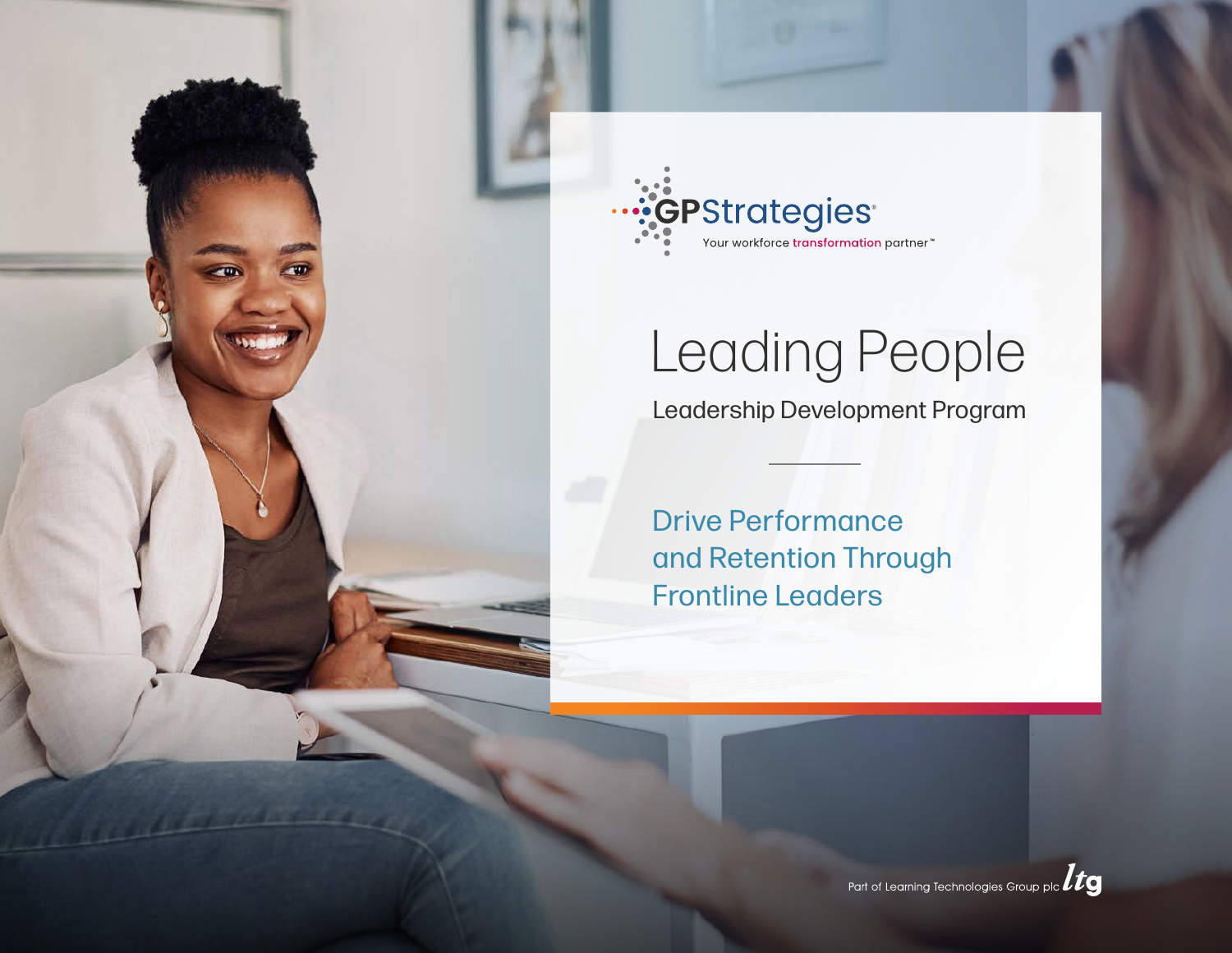



# Leading People

Leadership Development Program

Drive Performance and Retention Through Frontline Leaders

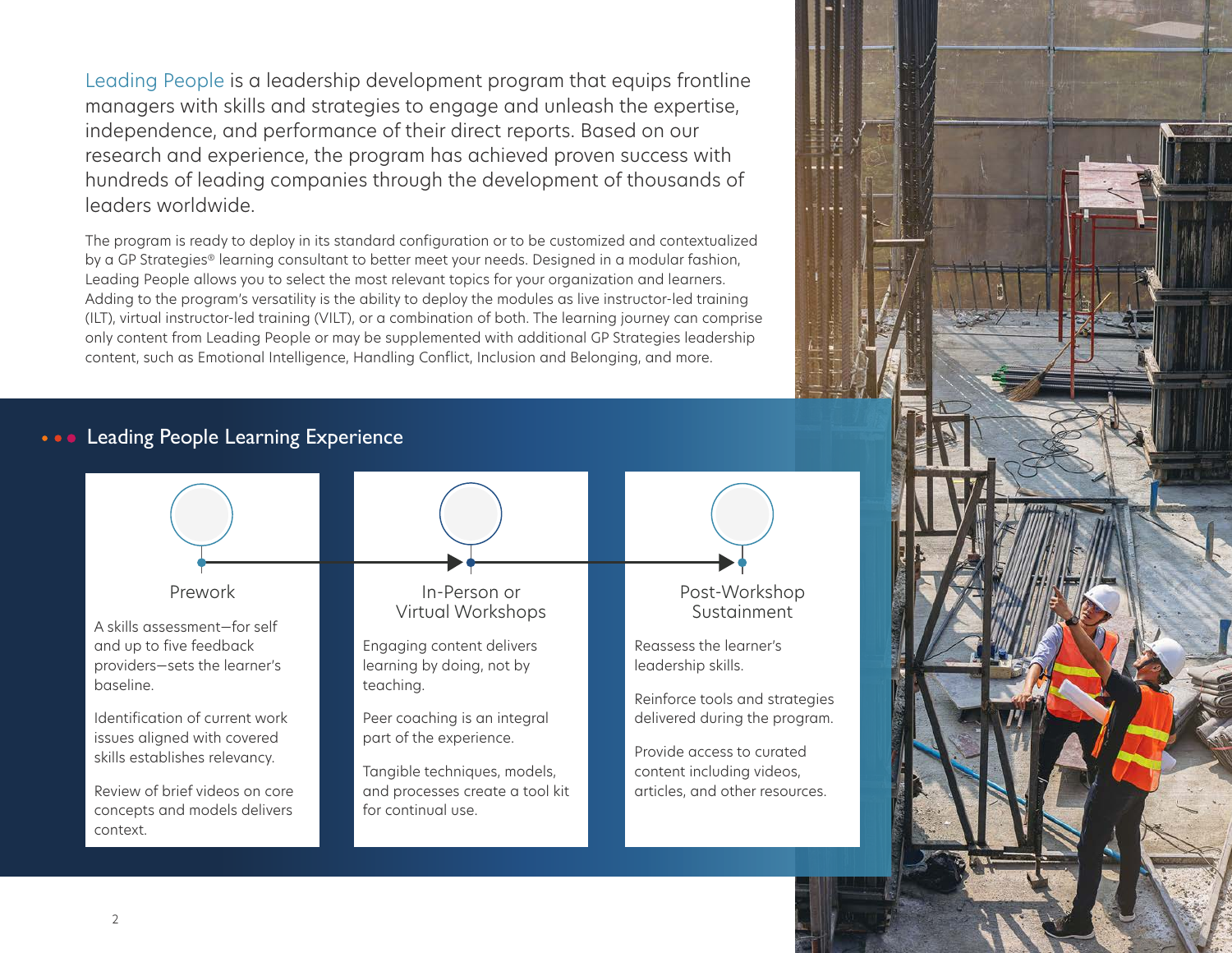Leading People is a leadership development program that equips frontline managers with skills and strategies to engage and unleash the expertise, independence, and performance of their direct reports. Based on our research and experience, the program has achieved proven success with hundreds of leading companies through the development of thousands of leaders worldwide.

The program is ready to deploy in its standard configuration or to be customized and contextualized by a GP Strategies® learning consultant to better meet your needs. Designed in a modular fashion, Leading People allows you to select the most relevant topics for your organization and learners. Adding to the program's versatility is the ability to deploy the modules as live instructor-led training (ILT), virtual instructor-led training (VILT), or a combination of both. The learning journey can comprise only content from Leading People or may be supplemented with additional GP Strategies leadership content, such as Emotional Intelligence, Handling Conflict, Inclusion and Belonging, and more.

# Leading People Learning Experience